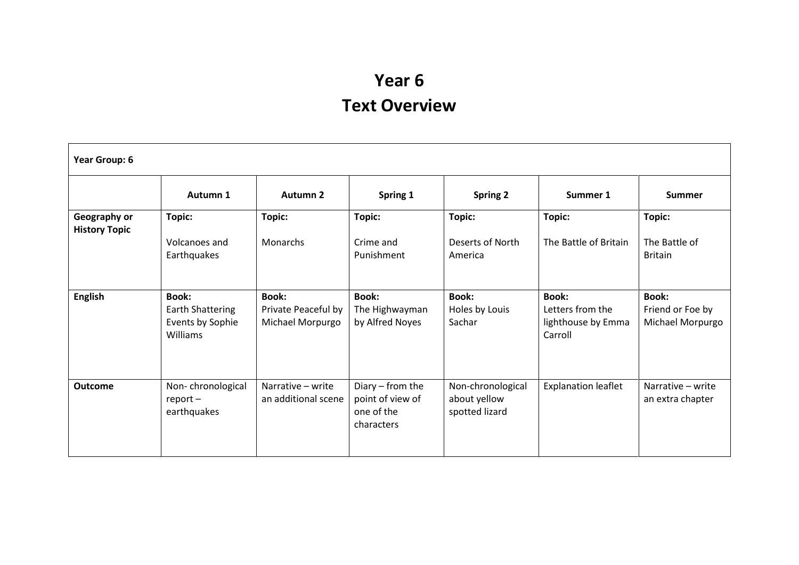## **Year 6**

## **Text Overview**

| Year Group: 6                        |                                                                         |                                                         |                                                                  |                                                     |                                                                   |                                                      |
|--------------------------------------|-------------------------------------------------------------------------|---------------------------------------------------------|------------------------------------------------------------------|-----------------------------------------------------|-------------------------------------------------------------------|------------------------------------------------------|
|                                      | Autumn 1                                                                | Autumn 2                                                | Spring 1                                                         | <b>Spring 2</b>                                     | Summer 1                                                          | <b>Summer</b>                                        |
| Geography or<br><b>History Topic</b> | Topic:                                                                  | Topic:                                                  | Topic:                                                           | Topic:                                              | Topic:                                                            | Topic:                                               |
|                                      | Volcanoes and<br>Earthquakes                                            | Monarchs                                                | Crime and<br>Punishment                                          | Deserts of North<br>America                         | The Battle of Britain                                             | The Battle of<br><b>Britain</b>                      |
| <b>English</b>                       | <b>Book:</b><br><b>Earth Shattering</b><br>Events by Sophie<br>Williams | <b>Book:</b><br>Private Peaceful by<br>Michael Morpurgo | <b>Book:</b><br>The Highwayman<br>by Alfred Noyes                | <b>Book:</b><br>Holes by Louis<br>Sachar            | <b>Book:</b><br>Letters from the<br>lighthouse by Emma<br>Carroll | <b>Book:</b><br>Friend or Foe by<br>Michael Morpurgo |
| <b>Outcome</b>                       | Non-chronological<br>$report -$<br>earthquakes                          | Narrative - write<br>an additional scene                | Diary - from the<br>point of view of<br>one of the<br>characters | Non-chronological<br>about yellow<br>spotted lizard | <b>Explanation leaflet</b>                                        | Narrative - write<br>an extra chapter                |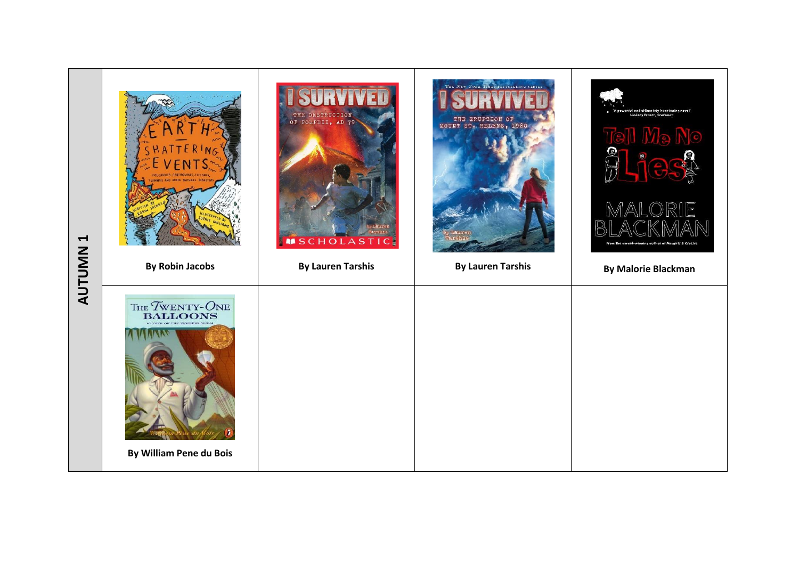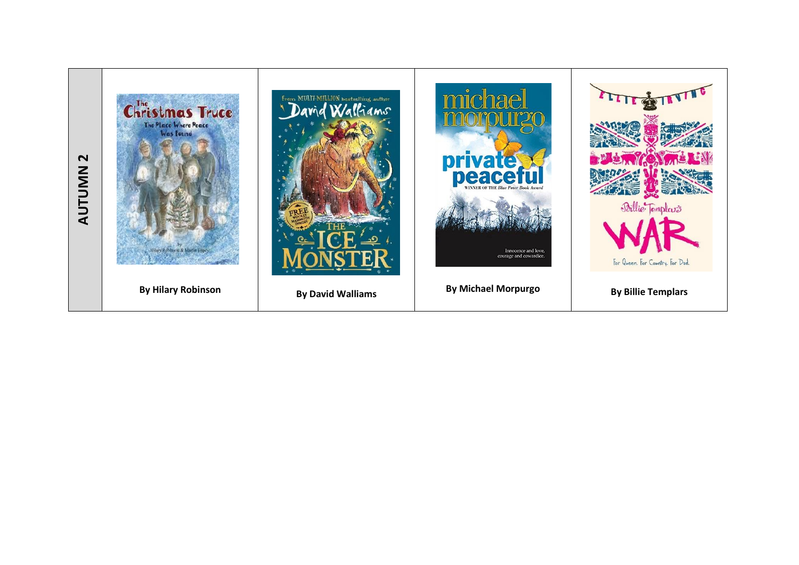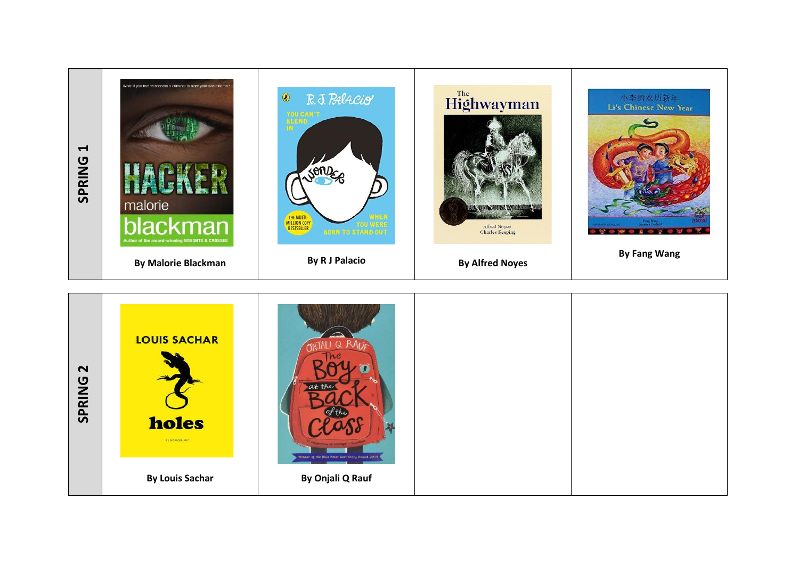

**By Louis Sachar By Onjali Q Rauf**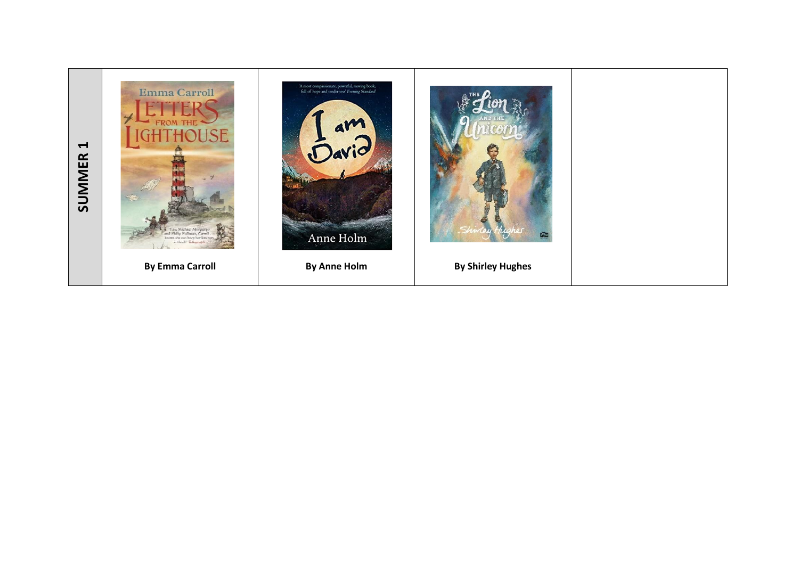